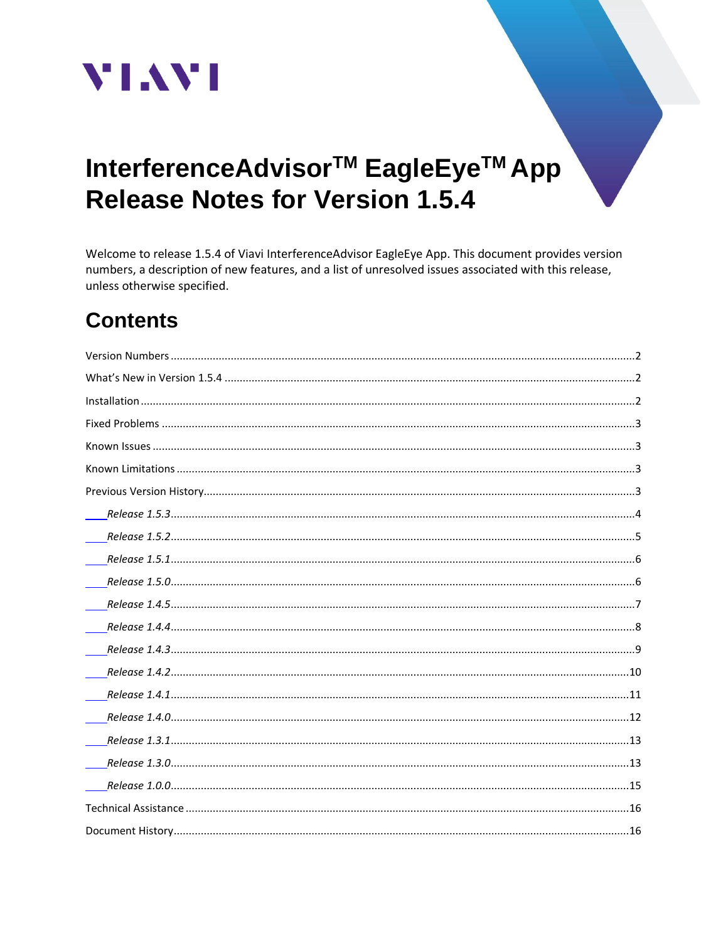

# InterferenceAdvisor<sup>™</sup> EagleEye<sup>™</sup> App **Release Notes for Version 1.5.4**

Welcome to release 1.5.4 of Viavi InterferenceAdvisor EagleEye App. This document provides version numbers, a description of new features, and a list of unresolved issues associated with this release, unless otherwise specified.

# **Contents**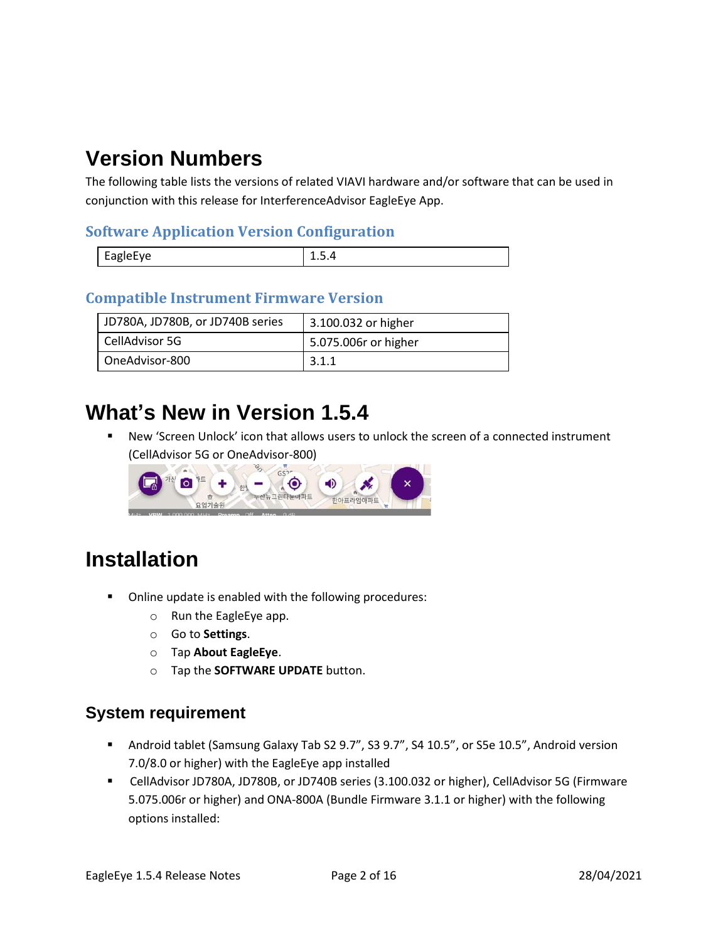## <span id="page-1-0"></span>**Version Numbers**

The following table lists the versions of related VIAVI hardware and/or software that can be used in conjunction with this release for InterferenceAdvisor EagleEye App.

#### **Software Application Version Configuration**

| . . |  |
|-----|--|
|     |  |

#### **Compatible Instrument Firmware Version**

| JD780A, JD780B, or JD740B series | 3.100.032 or higher  |
|----------------------------------|----------------------|
| CellAdvisor 5G                   | 5.075.006r or higher |
| OneAdvisor-800                   | 3.1.1                |

### <span id="page-1-1"></span>**What's New in Version 1.5.4**

New 'Screen Unlock' icon that allows users to unlock the screen of a connected instrument (CellAdvisor 5G or OneAdvisor-800)



## <span id="page-1-2"></span>**Installation**

- Online update is enabled with the following procedures:
	- o Run the EagleEye app.
	- o Go to **Settings**.
	- o Tap **About EagleEye**.
	- o Tap the **SOFTWARE UPDATE** button.

#### **System requirement**

- Android tablet (Samsung Galaxy Tab S2 9.7", S3 9.7", S4 10.5", or S5e 10.5", Android version 7.0/8.0 or higher) with the EagleEye app installed
- CellAdvisor JD780A, JD780B, or JD740B series (3.100.032 or higher), CellAdvisor 5G (Firmware 5.075.006r or higher) and ONA-800A (Bundle Firmware 3.1.1 or higher) with the following options installed: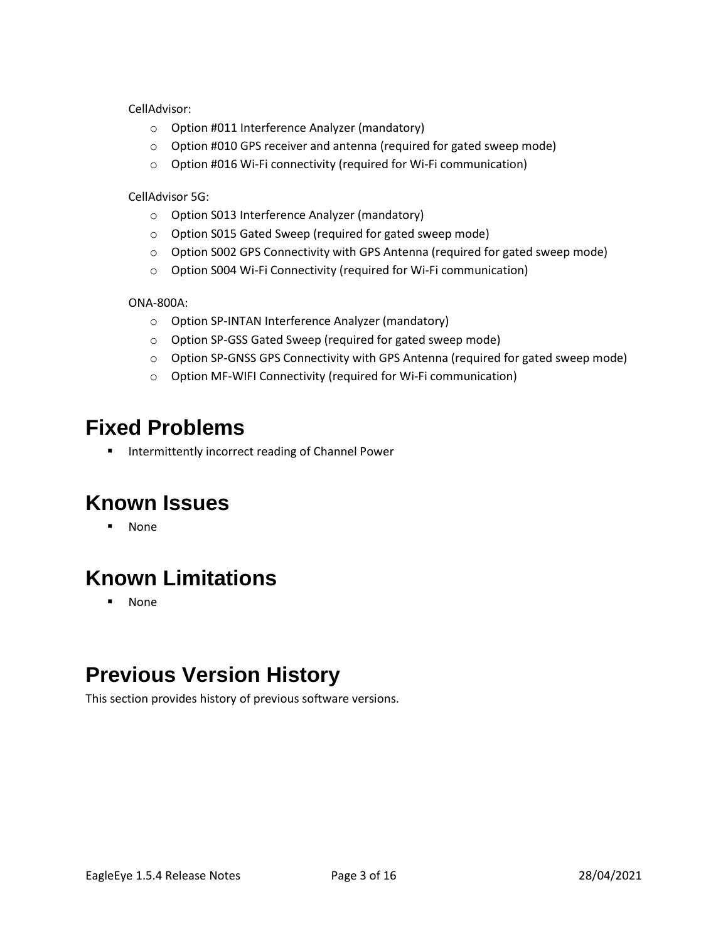CellAdvisor:

- o Option #011 Interference Analyzer (mandatory)
- o Option #010 GPS receiver and antenna (required for gated sweep mode)
- o Option #016 Wi-Fi connectivity (required for Wi-Fi communication)

CellAdvisor 5G:

- o Option S013 Interference Analyzer (mandatory)
- o Option S015 Gated Sweep (required for gated sweep mode)
- o Option S002 GPS Connectivity with GPS Antenna (required for gated sweep mode)
- o Option S004 Wi-Fi Connectivity (required for Wi-Fi communication)

ONA-800A:

- o Option SP-INTAN Interference Analyzer (mandatory)
- o Option SP-GSS Gated Sweep (required for gated sweep mode)
- o Option SP-GNSS GPS Connectivity with GPS Antenna (required for gated sweep mode)
- o Option MF-WIFI Connectivity (required for Wi-Fi communication)

### <span id="page-2-0"></span>**Fixed Problems**

■ Intermittently incorrect reading of Channel Power

## <span id="page-2-1"></span>**Known Issues**

▪ None

## <span id="page-2-2"></span>**Known Limitations**

▪ None

## <span id="page-2-3"></span>**Previous Version History**

This section provides history of previous software versions.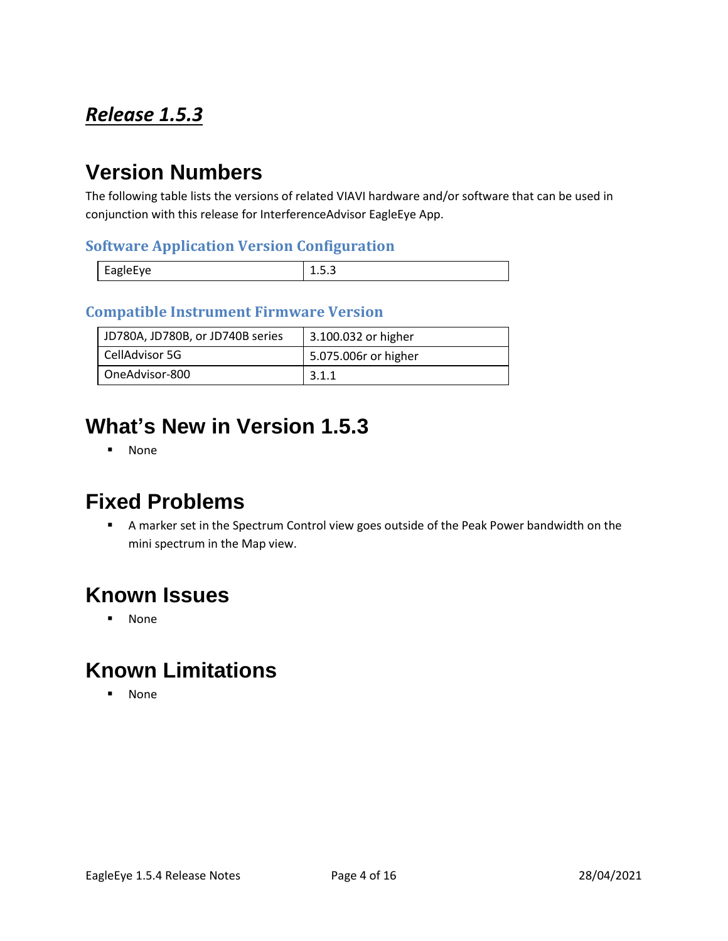## <span id="page-3-0"></span>*Release 1.5.3*

## **Version Numbers**

The following table lists the versions of related VIAVI hardware and/or software that can be used in conjunction with this release for InterferenceAdvisor EagleEye App.

#### **Software Application Version Configuration**

| -<br><b>EAGIAFVA</b><br>È<br>$-40.9 -$ | -<br><br> |
|----------------------------------------|-----------|

#### **Compatible Instrument Firmware Version**

| JD780A, JD780B, or JD740B series | 3.100.032 or higher  |
|----------------------------------|----------------------|
| CellAdvisor 5G                   | 5.075.006r or higher |
| OneAdvisor-800                   | 3.1.1                |

## **What's New in Version 1.5.3**

▪ None

### **Fixed Problems**

■ A marker set in the Spectrum Control view goes outside of the Peak Power bandwidth on the mini spectrum in the Map view.

#### **Known Issues**

▪ None

### **Known Limitations**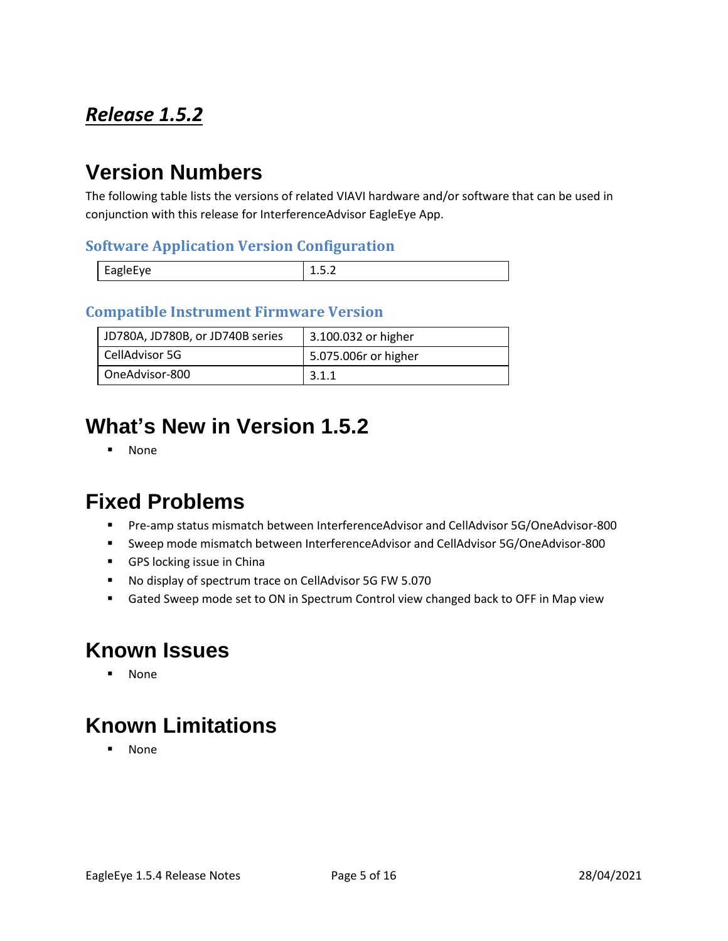## <span id="page-4-0"></span>*Release 1.5.2*

## **Version Numbers**

The following table lists the versions of related VIAVI hardware and/or software that can be used in conjunction with this release for InterferenceAdvisor EagleEye App.

#### **Software Application Version Configuration**

| <b>FARIAFVA</b><br>◡<br>יס~– | -<br> |
|------------------------------|-------|

#### **Compatible Instrument Firmware Version**

| JD780A, JD780B, or JD740B series | 3.100.032 or higher  |
|----------------------------------|----------------------|
| CellAdvisor 5G                   | 5.075.006r or higher |
| OneAdvisor-800                   | 3.1.1                |

## **What's New in Version 1.5.2**

▪ None

### **Fixed Problems**

- Pre-amp status mismatch between InterferenceAdvisor and CellAdvisor 5G/OneAdvisor-800
- Sweep mode mismatch between InterferenceAdvisor and CellAdvisor 5G/OneAdvisor-800
- GPS locking issue in China
- No display of spectrum trace on CellAdvisor 5G FW 5.070
- Gated Sweep mode set to ON in Spectrum Control view changed back to OFF in Map view

### **Known Issues**

▪ None

## **Known Limitations**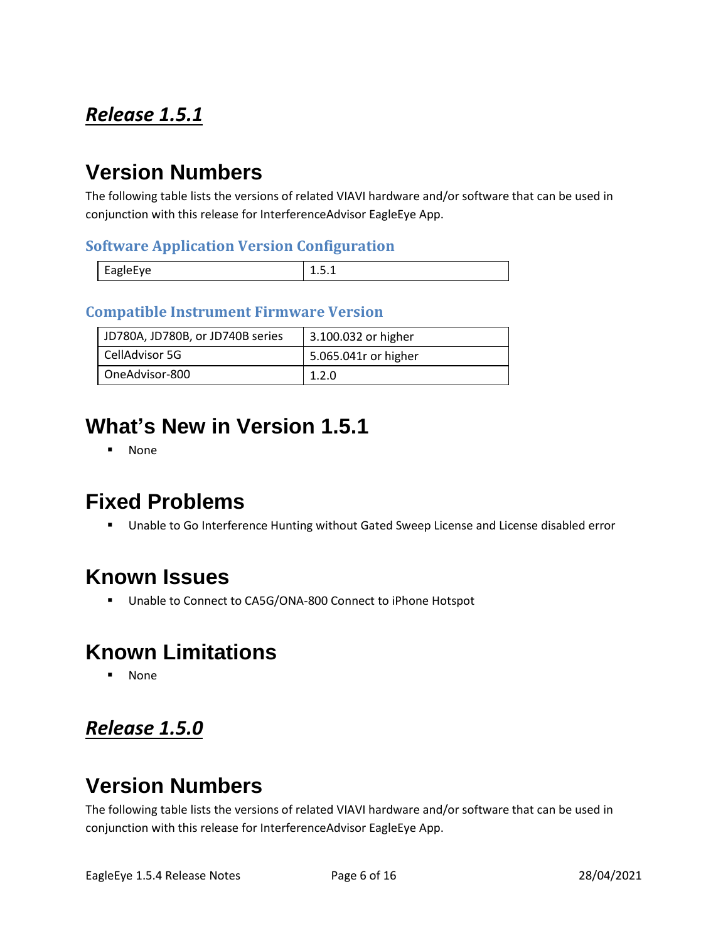## <span id="page-5-0"></span>*Release 1.5.1*

## **Version Numbers**

The following table lists the versions of related VIAVI hardware and/or software that can be used in conjunction with this release for InterferenceAdvisor EagleEye App.

#### **Software Application Version Configuration**

|          | - |
|----------|---|
| EagleEye | . |

#### **Compatible Instrument Firmware Version**

| JD780A, JD780B, or JD740B series | 3.100.032 or higher  |
|----------------------------------|----------------------|
| CellAdvisor 5G                   | 5.065.041r or higher |
| OneAdvisor-800                   | 1.2.0                |

## **What's New in Version 1.5.1**

▪ None

### **Fixed Problems**

■ Unable to Go Interference Hunting without Gated Sweep License and License disabled error

### **Known Issues**

■ Unable to Connect to CA5G/ONA-800 Connect to iPhone Hotspot

## **Known Limitations**

▪ None

### <span id="page-5-1"></span>*Release 1.5.0*

## **Version Numbers**

The following table lists the versions of related VIAVI hardware and/or software that can be used in conjunction with this release for InterferenceAdvisor EagleEye App.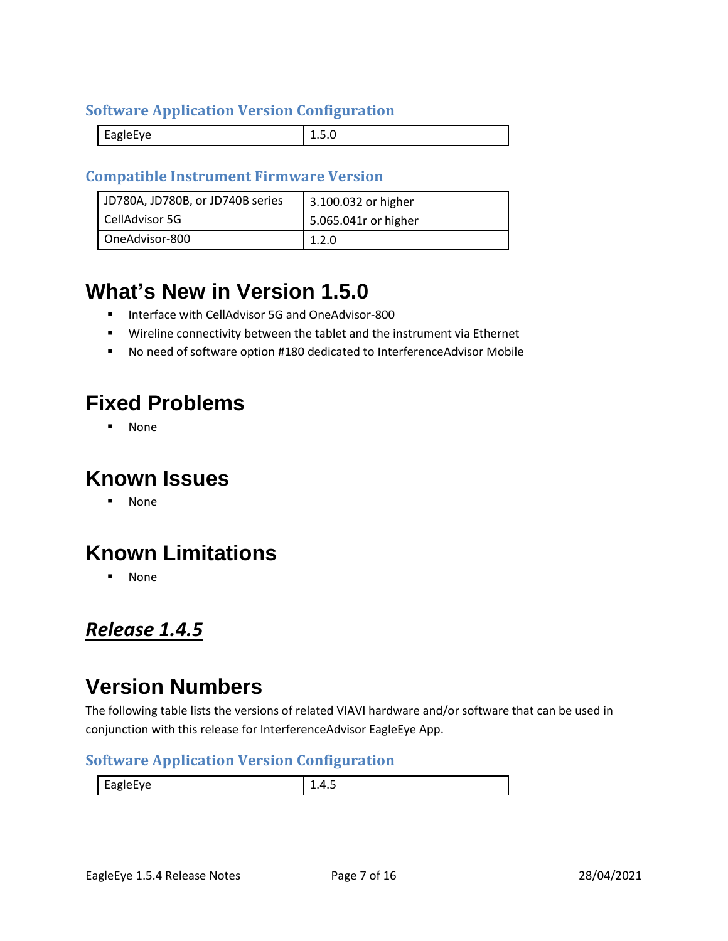#### **Software Application Version Configuration**

| . . |  |
|-----|--|
|-----|--|

#### **Compatible Instrument Firmware Version**

| JD780A, JD780B, or JD740B series | 3.100.032 or higher  |
|----------------------------------|----------------------|
| CellAdvisor 5G                   | 5.065.041r or higher |
| OneAdvisor-800                   | 1.2.0                |

## **What's New in Version 1.5.0**

- Interface with CellAdvisor 5G and OneAdvisor-800
- Wireline connectivity between the tablet and the instrument via Ethernet
- No need of software option #180 dedicated to InterferenceAdvisor Mobile

## **Fixed Problems**

▪ None

### **Known Issues**

▪ None

## **Known Limitations**

▪ None

#### <span id="page-6-0"></span>*Release 1.4.5*

## **Version Numbers**

The following table lists the versions of related VIAVI hardware and/or software that can be used in conjunction with this release for InterferenceAdvisor EagleEye App.

#### **Software Application Version Configuration**

EagleEye  $\begin{array}{|c|c|c|c|c|c|c|c|c|} \hline 1.4.5 \end{array}$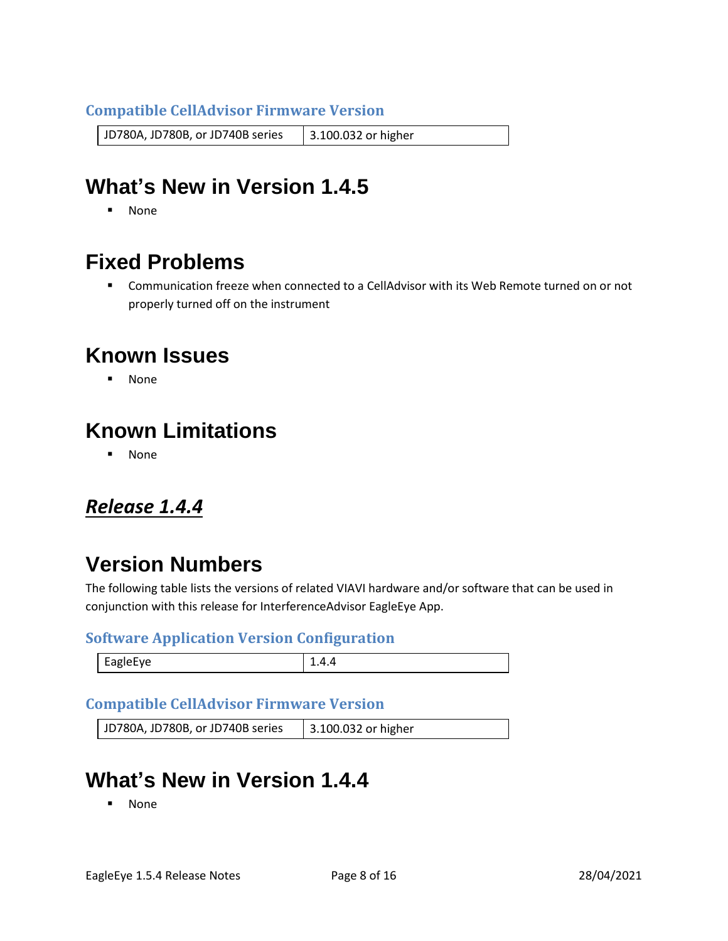#### **Compatible CellAdvisor Firmware Version**

JD780A, JD780B, or JD740B series | 3.100.032 or higher

## **What's New in Version 1.4.5**

▪ None

## **Fixed Problems**

■ Communication freeze when connected to a CellAdvisor with its Web Remote turned on or not properly turned off on the instrument

### **Known Issues**

▪ None

## **Known Limitations**

▪ None

### <span id="page-7-0"></span>*Release 1.4.4*

### **Version Numbers**

The following table lists the versions of related VIAVI hardware and/or software that can be used in conjunction with this release for InterferenceAdvisor EagleEye App.

#### **Software Application Version Configuration**

|  | 1018-VP |  |
|--|---------|--|
|--|---------|--|

#### **Compatible CellAdvisor Firmware Version**

| JD780A, JD780B, or JD740B series | 3.100.032 or higher |
|----------------------------------|---------------------|
|----------------------------------|---------------------|

## **What's New in Version 1.4.4**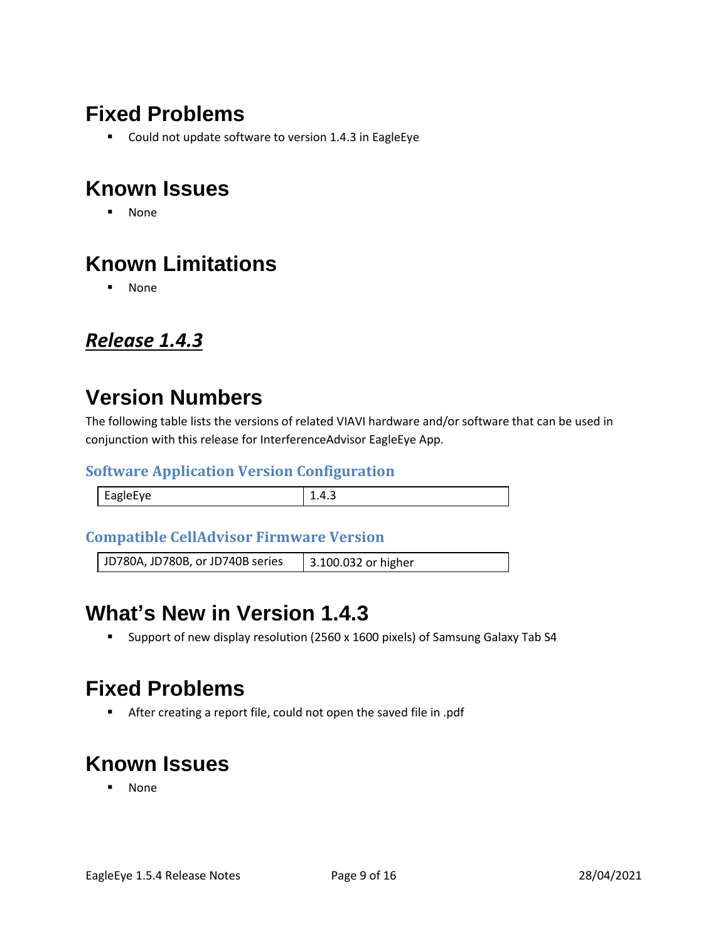## **Fixed Problems**

■ Could not update software to version 1.4.3 in EagleEye

## **Known Issues**

▪ None

## **Known Limitations**

▪ None

#### <span id="page-8-0"></span>*Release 1.4.3*

# **Version Numbers**

The following table lists the versions of related VIAVI hardware and/or software that can be used in conjunction with this release for InterferenceAdvisor EagleEye App.

#### **Software Application Version Configuration**

| EagleEye | 14 |
|----------|----|

#### **Compatible CellAdvisor Firmware Version**

JD780A, JD780B, or JD740B series | 3.100.032 or higher

### **What's New in Version 1.4.3**

▪ Support of new display resolution (2560 x 1600 pixels) of Samsung Galaxy Tab S4

### **Fixed Problems**

■ After creating a report file, could not open the saved file in .pdf

## **Known Issues**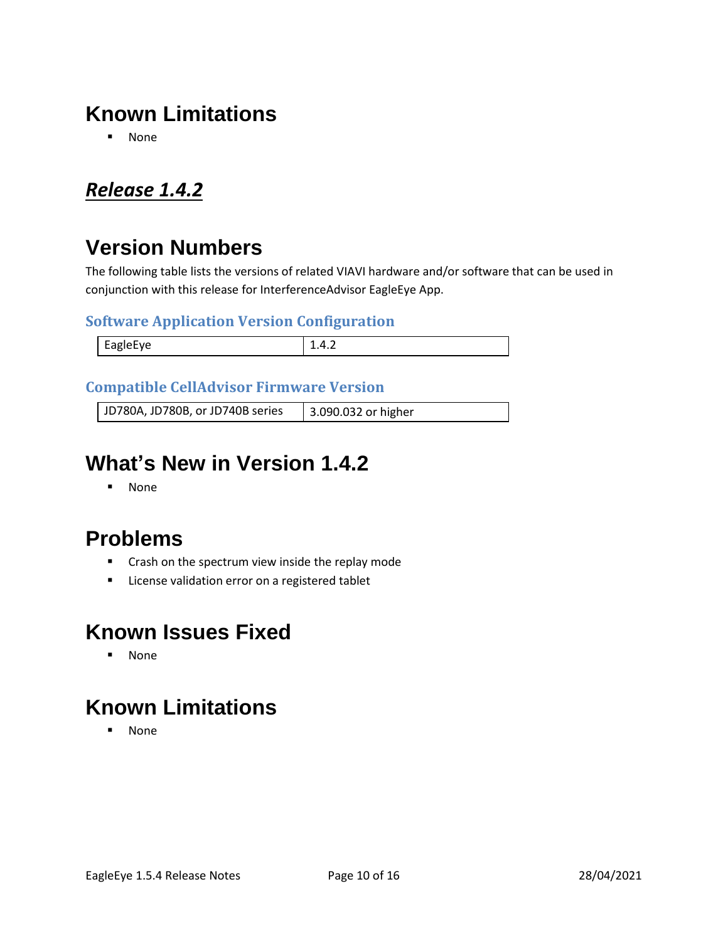## **Known Limitations**

▪ None

### <span id="page-9-0"></span>*Release 1.4.2*

## **Version Numbers**

The following table lists the versions of related VIAVI hardware and/or software that can be used in conjunction with this release for InterferenceAdvisor EagleEye App.

#### **Software Application Version Configuration**

| <b>EAGLAFVA</b><br>-- |  |
|-----------------------|--|
|                       |  |

#### **Compatible CellAdvisor Firmware Version**

JD780A, JD780B, or JD740B series 3.090.032 or higher

## **What's New in Version 1.4.2**

▪ None

## **Problems**

- Crash on the spectrum view inside the replay mode
- License validation error on a registered tablet

### **Known Issues Fixed**

▪ None

## **Known Limitations**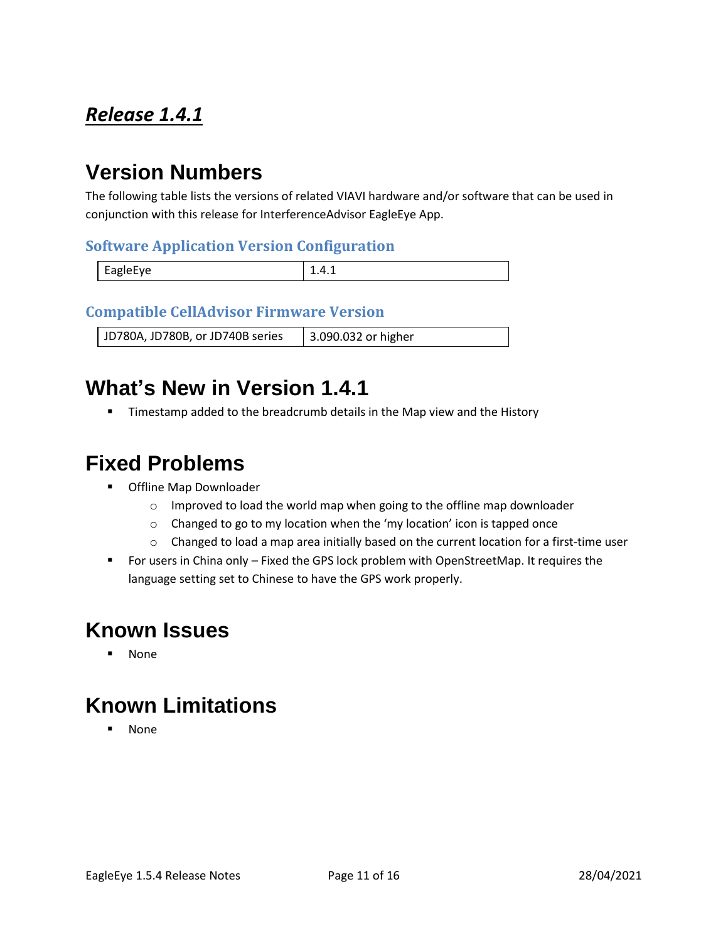## <span id="page-10-0"></span>*Release 1.4.1*

# **Version Numbers**

The following table lists the versions of related VIAVI hardware and/or software that can be used in conjunction with this release for InterferenceAdvisor EagleEye App.

#### **Software Application Version Configuration**

| <b>FARIAFVA</b> | ---- |
|-----------------|------|

#### **Compatible CellAdvisor Firmware Version**

JD780A, JD780B, or JD740B series | 3.090.032 or higher

### **What's New in Version 1.4.1**

**■** Timestamp added to the breadcrumb details in the Map view and the History

### **Fixed Problems**

- Offline Map Downloader
	- o Improved to load the world map when going to the offline map downloader
	- o Changed to go to my location when the 'my location' icon is tapped once
	- $\circ$  Changed to load a map area initially based on the current location for a first-time user
- For users in China only Fixed the GPS lock problem with OpenStreetMap. It requires the language setting set to Chinese to have the GPS work properly.

## **Known Issues**

▪ None

## **Known Limitations**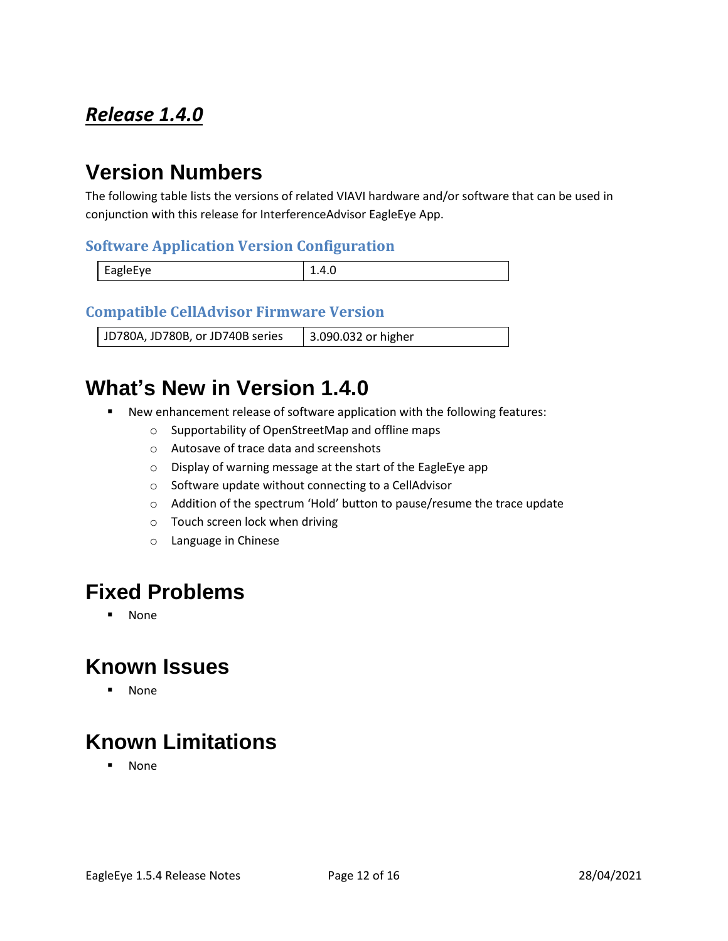## <span id="page-11-0"></span>*Release 1.4.0*

# **Version Numbers**

The following table lists the versions of related VIAVI hardware and/or software that can be used in conjunction with this release for InterferenceAdvisor EagleEye App.

#### **Software Application Version Configuration**

| <b>FA</b> ZIPFVP<br>$-90 - -$ | 1.T.V |
|-------------------------------|-------|

#### **Compatible CellAdvisor Firmware Version**

JD780A, JD780B, or JD740B series | 3.090.032 or higher

### **What's New in Version 1.4.0**

- New enhancement release of software application with the following features:
	- o Supportability of OpenStreetMap and offline maps
	- o Autosave of trace data and screenshots
	- o Display of warning message at the start of the EagleEye app
	- o Software update without connecting to a CellAdvisor
	- o Addition of the spectrum 'Hold' button to pause/resume the trace update
	- o Touch screen lock when driving
	- o Language in Chinese

### **Fixed Problems**

▪ None

### **Known Issues**

▪ None

## **Known Limitations**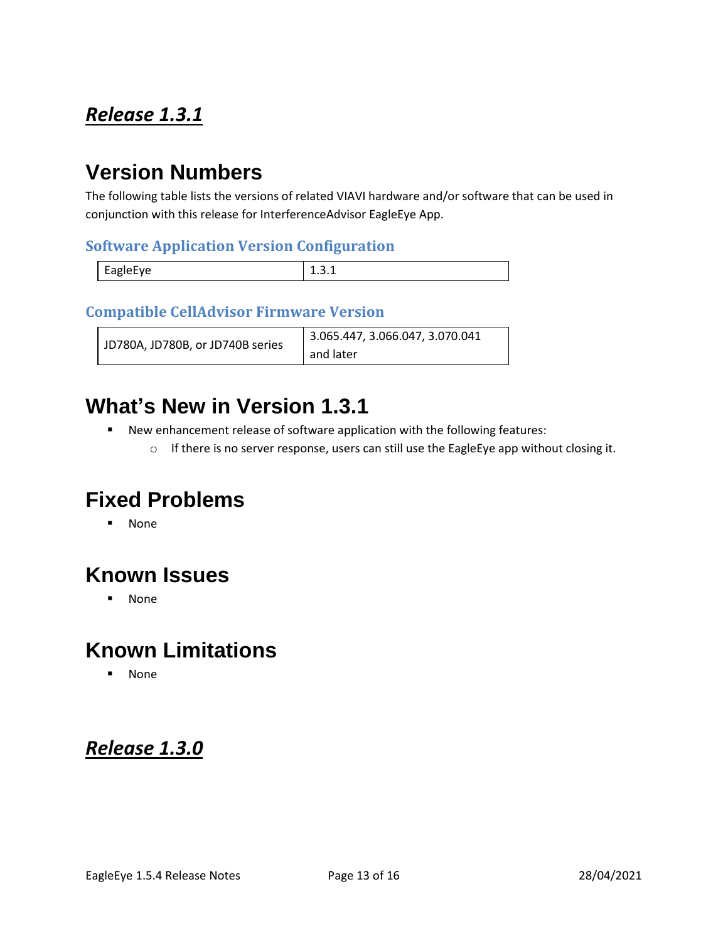## <span id="page-12-0"></span>*Release 1.3.1*

## **Version Numbers**

The following table lists the versions of related VIAVI hardware and/or software that can be used in conjunction with this release for InterferenceAdvisor EagleEye App.

#### **Software Application Version Configuration**

|          | - |
|----------|---|
| EagleEye |   |

#### **Compatible CellAdvisor Firmware Version**

| JD780A, JD780B, or JD740B series | 3.065.447, 3.066.047, 3.070.041 |
|----------------------------------|---------------------------------|
|                                  | and later                       |

### **What's New in Version 1.3.1**

- New enhancement release of software application with the following features:
	- o If there is no server response, users can still use the EagleEye app without closing it.

## **Fixed Problems**

▪ None

## **Known Issues**

▪ None

## **Known Limitations**

▪ None

### <span id="page-12-1"></span>*Release 1.3.0*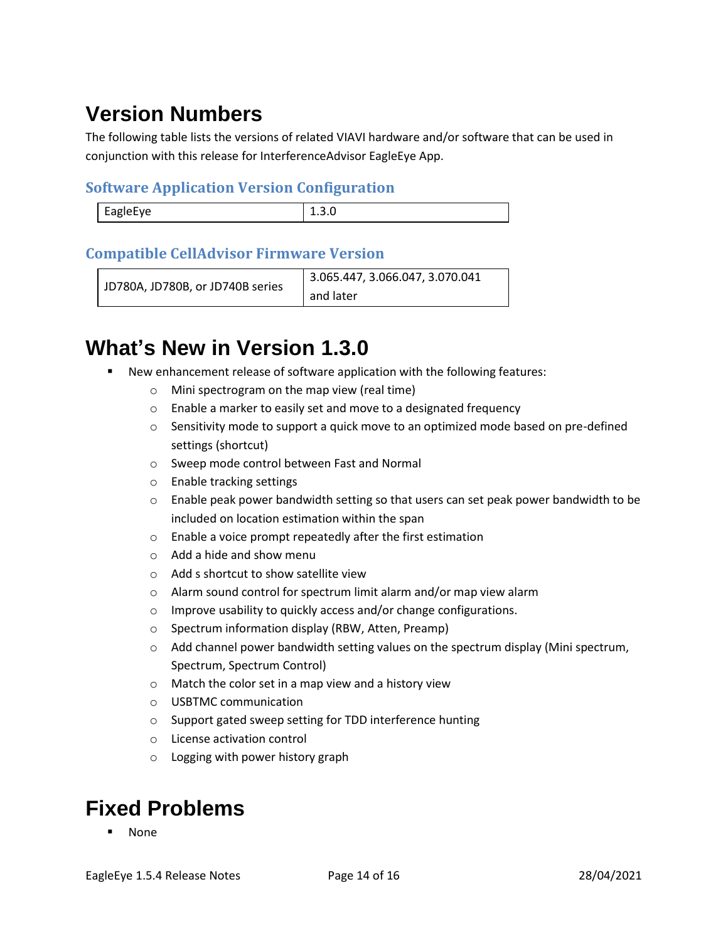# **Version Numbers**

The following table lists the versions of related VIAVI hardware and/or software that can be used in conjunction with this release for InterferenceAdvisor EagleEye App.

#### **Software Application Version Configuration**

| <b>FABIPFVP</b><br>Lupic- | - - - - - |
|---------------------------|-----------|
|                           |           |

#### **Compatible CellAdvisor Firmware Version**

```
JD780A, JD780B, or JD740B series
                         3.065.447, 3.066.047, 3.070.041 
                         and later
```
## **What's New in Version 1.3.0**

- New enhancement release of software application with the following features:
	- o Mini spectrogram on the map view (real time)
	- o Enable a marker to easily set and move to a designated frequency
	- $\circ$  Sensitivity mode to support a quick move to an optimized mode based on pre-defined settings (shortcut)
	- o Sweep mode control between Fast and Normal
	- o Enable tracking settings
	- $\circ$  Enable peak power bandwidth setting so that users can set peak power bandwidth to be included on location estimation within the span
	- o Enable a voice prompt repeatedly after the first estimation
	- o Add a hide and show menu
	- o Add s shortcut to show satellite view
	- o Alarm sound control for spectrum limit alarm and/or map view alarm
	- o Improve usability to quickly access and/or change configurations.
	- o Spectrum information display (RBW, Atten, Preamp)
	- $\circ$  Add channel power bandwidth setting values on the spectrum display (Mini spectrum, Spectrum, Spectrum Control)
	- o Match the color set in a map view and a history view
	- o USBTMC communication
	- o Support gated sweep setting for TDD interference hunting
	- o License activation control
	- o Logging with power history graph

## **Fixed Problems**

**None**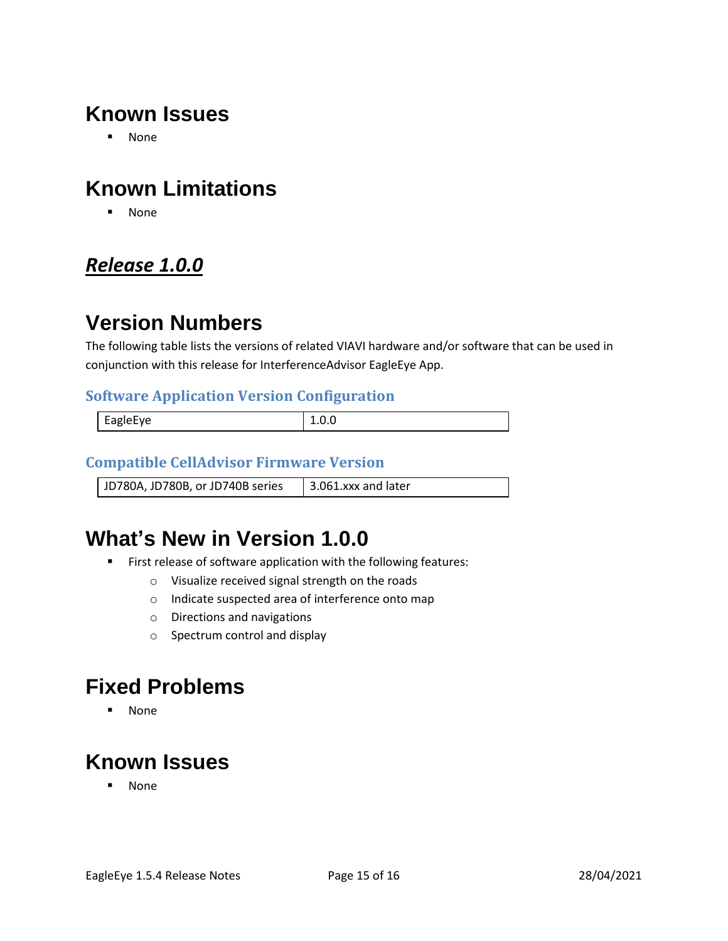## **Known Issues**

▪ None

## **Known Limitations**

▪ None

### <span id="page-14-0"></span>*Release 1.0.0*

## **Version Numbers**

The following table lists the versions of related VIAVI hardware and/or software that can be used in conjunction with this release for InterferenceAdvisor EagleEye App.

#### **Software Application Version Configuration**

| EagleEye |  |
|----------|--|
|          |  |

#### **Compatible CellAdvisor Firmware Version**

JD780A, JD780B, or JD740B series  $\parallel$  3.061.xxx and later

## **What's New in Version 1.0.0**

- First release of software application with the following features:
	- o Visualize received signal strength on the roads
	- o Indicate suspected area of interference onto map
	- o Directions and navigations
	- o Spectrum control and display

### **Fixed Problems**

▪ None

## **Known Issues**